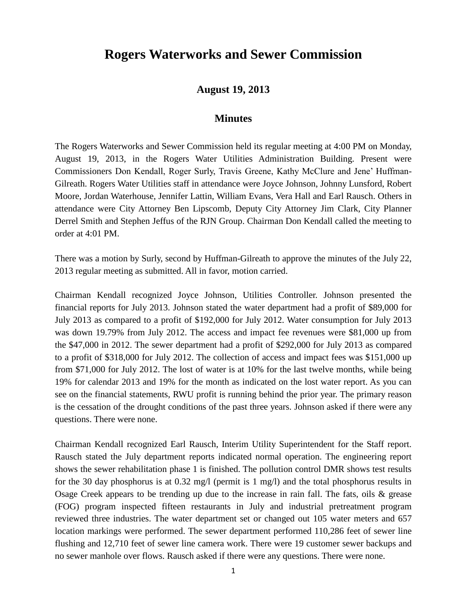## **Rogers Waterworks and Sewer Commission**

## **August 19, 2013**

## **Minutes**

The Rogers Waterworks and Sewer Commission held its regular meeting at 4:00 PM on Monday, August 19, 2013, in the Rogers Water Utilities Administration Building. Present were Commissioners Don Kendall, Roger Surly, Travis Greene, Kathy McClure and Jene' Huffman-Gilreath. Rogers Water Utilities staff in attendance were Joyce Johnson, Johnny Lunsford, Robert Moore, Jordan Waterhouse, Jennifer Lattin, William Evans, Vera Hall and Earl Rausch. Others in attendance were City Attorney Ben Lipscomb, Deputy City Attorney Jim Clark, City Planner Derrel Smith and Stephen Jeffus of the RJN Group. Chairman Don Kendall called the meeting to order at 4:01 PM.

There was a motion by Surly, second by Huffman-Gilreath to approve the minutes of the July 22, 2013 regular meeting as submitted. All in favor, motion carried.

Chairman Kendall recognized Joyce Johnson, Utilities Controller. Johnson presented the financial reports for July 2013. Johnson stated the water department had a profit of \$89,000 for July 2013 as compared to a profit of \$192,000 for July 2012. Water consumption for July 2013 was down 19.79% from July 2012. The access and impact fee revenues were \$81,000 up from the \$47,000 in 2012. The sewer department had a profit of \$292,000 for July 2013 as compared to a profit of \$318,000 for July 2012. The collection of access and impact fees was \$151,000 up from \$71,000 for July 2012. The lost of water is at 10% for the last twelve months, while being 19% for calendar 2013 and 19% for the month as indicated on the lost water report. As you can see on the financial statements, RWU profit is running behind the prior year. The primary reason is the cessation of the drought conditions of the past three years. Johnson asked if there were any questions. There were none.

Chairman Kendall recognized Earl Rausch, Interim Utility Superintendent for the Staff report. Rausch stated the July department reports indicated normal operation. The engineering report shows the sewer rehabilitation phase 1 is finished. The pollution control DMR shows test results for the 30 day phosphorus is at 0.32 mg/l (permit is 1 mg/l) and the total phosphorus results in Osage Creek appears to be trending up due to the increase in rain fall. The fats, oils & grease (FOG) program inspected fifteen restaurants in July and industrial pretreatment program reviewed three industries. The water department set or changed out 105 water meters and 657 location markings were performed. The sewer department performed 110,286 feet of sewer line flushing and 12,710 feet of sewer line camera work. There were 19 customer sewer backups and no sewer manhole over flows. Rausch asked if there were any questions. There were none.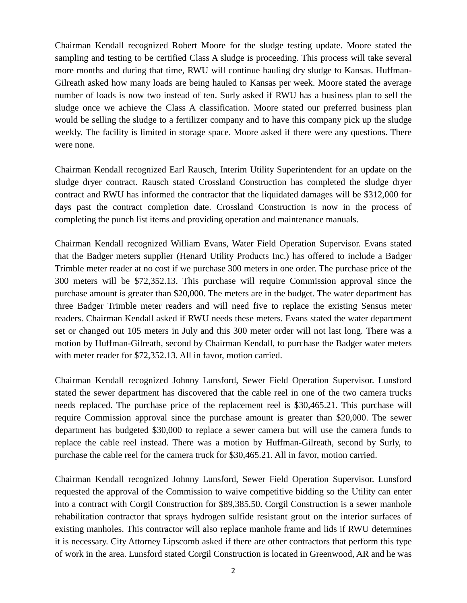Chairman Kendall recognized Robert Moore for the sludge testing update. Moore stated the sampling and testing to be certified Class A sludge is proceeding. This process will take several more months and during that time, RWU will continue hauling dry sludge to Kansas. Huffman-Gilreath asked how many loads are being hauled to Kansas per week. Moore stated the average number of loads is now two instead of ten. Surly asked if RWU has a business plan to sell the sludge once we achieve the Class A classification. Moore stated our preferred business plan would be selling the sludge to a fertilizer company and to have this company pick up the sludge weekly. The facility is limited in storage space. Moore asked if there were any questions. There were none.

Chairman Kendall recognized Earl Rausch, Interim Utility Superintendent for an update on the sludge dryer contract. Rausch stated Crossland Construction has completed the sludge dryer contract and RWU has informed the contractor that the liquidated damages will be \$312,000 for days past the contract completion date. Crossland Construction is now in the process of completing the punch list items and providing operation and maintenance manuals.

Chairman Kendall recognized William Evans, Water Field Operation Supervisor. Evans stated that the Badger meters supplier (Henard Utility Products Inc.) has offered to include a Badger Trimble meter reader at no cost if we purchase 300 meters in one order. The purchase price of the 300 meters will be \$72,352.13. This purchase will require Commission approval since the purchase amount is greater than \$20,000. The meters are in the budget. The water department has three Badger Trimble meter readers and will need five to replace the existing Sensus meter readers. Chairman Kendall asked if RWU needs these meters. Evans stated the water department set or changed out 105 meters in July and this 300 meter order will not last long. There was a motion by Huffman-Gilreath, second by Chairman Kendall, to purchase the Badger water meters with meter reader for \$72,352.13. All in favor, motion carried.

Chairman Kendall recognized Johnny Lunsford, Sewer Field Operation Supervisor. Lunsford stated the sewer department has discovered that the cable reel in one of the two camera trucks needs replaced. The purchase price of the replacement reel is \$30,465.21. This purchase will require Commission approval since the purchase amount is greater than \$20,000. The sewer department has budgeted \$30,000 to replace a sewer camera but will use the camera funds to replace the cable reel instead. There was a motion by Huffman-Gilreath, second by Surly, to purchase the cable reel for the camera truck for \$30,465.21. All in favor, motion carried.

Chairman Kendall recognized Johnny Lunsford, Sewer Field Operation Supervisor. Lunsford requested the approval of the Commission to waive competitive bidding so the Utility can enter into a contract with Corgil Construction for \$89,385.50. Corgil Construction is a sewer manhole rehabilitation contractor that sprays hydrogen sulfide resistant grout on the interior surfaces of existing manholes. This contractor will also replace manhole frame and lids if RWU determines it is necessary. City Attorney Lipscomb asked if there are other contractors that perform this type of work in the area. Lunsford stated Corgil Construction is located in Greenwood, AR and he was